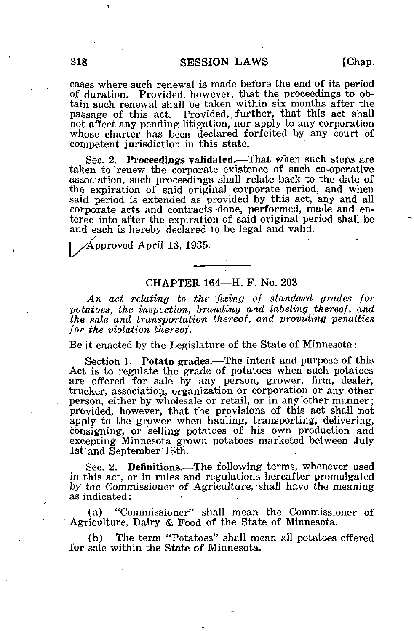cases where such renewal is made before the end of its period of duration. Provided, however, that the proceedings to obtain such renewal shall be taken within six months after the passage of this act. Provided,, further, that this act shall not affect any pending litigation, nor apply to any corporation whose charter has been declared forfeited by any court of competent jurisdiction in this state.

Sec. 2. Proceedings validated.—That when such steps are taken to renew the corporate existence of such co-operative association, such proceedings shall relate back to the date of the expiration of said original corporate period, and when said period is extended as provided by this act, any and all corporate acts and contracts done, performed, made and entered into after the expiration of said original period shall be and each is hereby declared to be legal and valid.

Approved April 13, 1935.

## CHAPTER 164—H. F. No. 203

An act relating to the fixing of standard grades for potatoes, the inspection, branding and labeling thereof, and the sale and transportation thereof, and providing penalties for the violation thereof.

Be it enacted by the Legislature of the State of Minnesota:

Section 1. Potato grades.—The intent and purpose of this Act is to regulate the grade of potatoes when such potatoes are offered for sale by any person, grower, firm, dealer, trucker, association, organization or corporation or any other person, either by wholesale or retail, or in any'other manner; provided, however, that the provisions of this act shall not apply to the grower when hauling, transporting, delivering, consigning, or selling potatoes of his own production and excepting Minnesota grown potatoes marketed between July 1st and September 15th.

Sec. 2. Definitions.—The following terms, whenever used in this act, or in rules and regulations hereafter promulgated by the Commissioner of Agriculture, "shall have the meaning as indicated:

(a) "Commissioner" shall mean the Commissioner of Agriculture, Dairy & Food of the State of Minnesota.

(b) The term "Potatoes" shall mean all potatoes offered for sale within the State of Minnesota.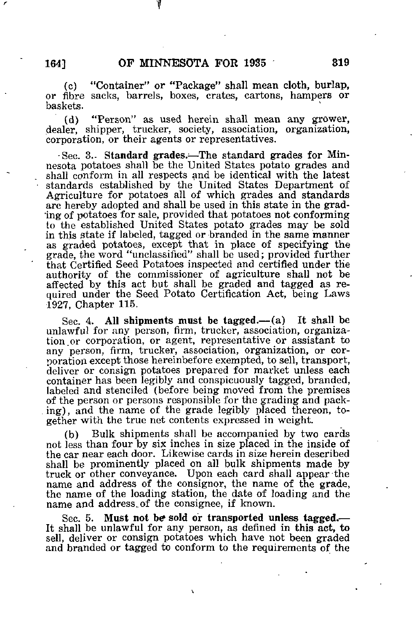(c) "Container" or "Package" shall mean cloth, burlap, or fibre sacks, barrels, boxes, crates, cartons, hampers or baskets.

(d) "Person" as used herein shall mean any grower, dealer, shipper, trucker, society, association, organization, corporation, or their agents or representatives.

 $-$ Sec. 3.- Standard grades.—The standard grades for Minnesota potatoes shall be the United States potato grades and shall conform in all respects and be identical with the latest standards established by the United States Department of Agriculture for potatoes all of which grades and standards are hereby adopted and shall be used in this state in the grading of potatoes for sale, provided that potatoes not conforming to the established United States potato grades may be sold in this state if labeled, tagged or branded in the same manner as graded potatoes, except that in place of specifying the grade, the word "unclassified" shall be used; provided further that Certified Seed Potatoes inspected and certified under the authority of the commissioner of agriculture shall not be affected by this act but shall be graded and tagged as required under the Seed Potato Certification Act, being Laws 1927, Chapter 115.

Sec. 4. All shipments must be tagged.— (a) It shall be unlawful for any person, firm, trucker, association, organization, or corporation, or agent, representative or assistant to any person, firm, trucker, association, organization, or corporation except those hereinbefore exempted, to sell, transport, deliver or consign potatoes prepared for market unless each container has been legibly and conspicuously tagged, branded, labeled and stenciled (before being moved from the premises of the person or persons responsible for the grading and packing), and the name of the grade legibly placed thereon, together with the true net contents expressed in weight.

(b) Bulk shipments shall be accompanied by two cards not less than four by six inches in size placed in the inside of the car near each door. Likewise cards in size herein described shall be prominently placed on all bulk shipments made by truck or other conveyance. Upon each card shall appear the name and address of the consignor, the name of the grade, the name of the loading station, the date of loading and the name and address.of the consignee, if known.

Sec. 5. Must not be sold or transported unless tagged.— It shall be unlawful for any person, as defined in this act, to sell, deliver or consign potatoes which have not been graded and branded or tagged to conform to the requirements of the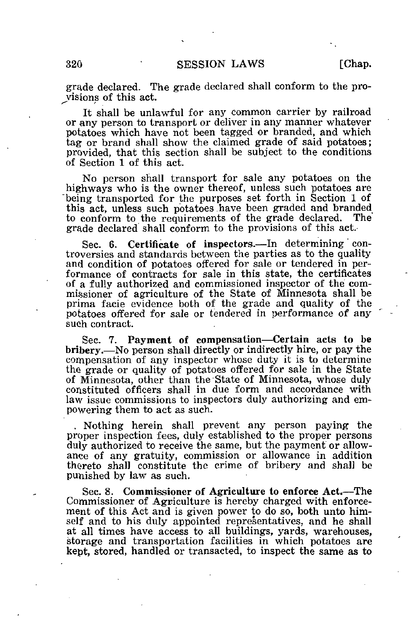grade declared. The grade declared shall conform to the provisions of this act.

It shall be unlawful for any common carrier by railroad or any person to transport or deliver in any manner whatever potatoes which have not been tagged or branded, and which tag or brand shall show the claimed grade of said potatoes; provided, that this section shall be subject to the conditions of Section 1 of this act.

No person shall transport for sale any potatoes on the highways who is the owner thereof, unless such potatoes are being transported for the purposes set forth in Section 1 of this act, unless such potatoes have been graded and branded to conform to the requirements of the grade declared. The to conform to the requirements of the grade declared. grade declared shall conform to the provisions of this act.

Sec. 6. Certificate of inspectors.—In determining controversies and standards between the parties as to the quality and condition of potatoes offered for sale or tendered in performance of contracts for sale in this state, the certificates of a fully authorized and commissioned inspector of the commissioner of agriculture of the State of Minnesota shall be prima facie evidence both of the grade and quality of the potatoes offered for sale or tendered in performance of any such contract.

Sec. 7. Payment of compensation-Certain acts to be bribery. — No person shall directly or indirectly hire, or pay the compensation of any inspector whose duty it is to determine the grade or quality of potatoes offered for sale in the State of Minnesota, other than the State of Minnesota, whose duly constituted officers shall in due form and accordance with law issue commissions to inspectors duly authorizing and empowering them to act as such.

. Nothing herein shall prevent any person paying the proper inspection fees, duly established to the proper persons duly authorized to receive the same, but the payment or allowance of any gratuity, commission or allowance in addition thereto shall constitute the crime of bribery and shall be punished by law as such.

Sec. 8. Commissioner of Agriculture to enforce Act.—The Commissioner of Agriculture is hereby charged with enforcement of this Act and is given power to do so, both unto himself and to his duly appointed representatives, and he shall at all times have access to all buildings, yards, warehouses, storage and transportation facilities in which potatoes are kept, stored, handled or transacted, to inspect the same as to